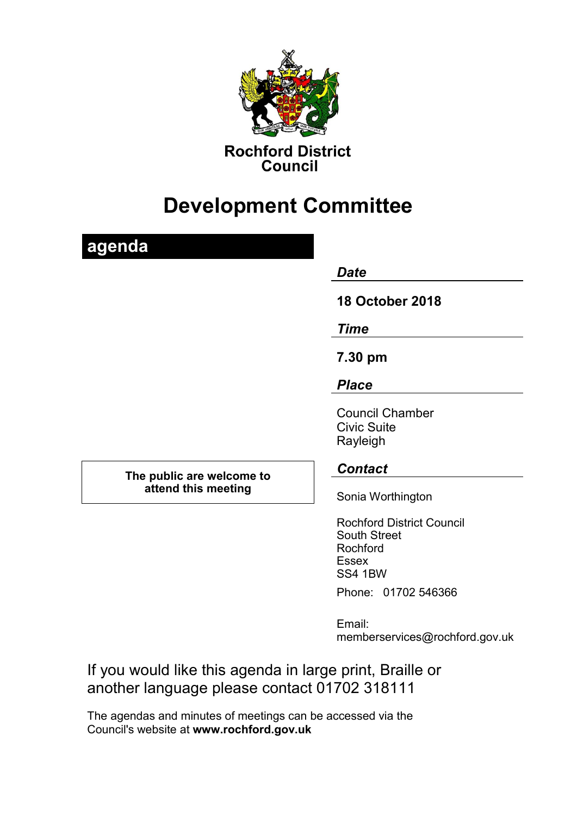

# **Development Committee**

## **agenda** *Date*  **18 October 2018** *Time* **7.30 pm** *Place* Council Chamber Civic Suite Rayleigh **The public are welcome to attend this meeting** *Contact* Sonia Worthington Rochford District Council South Street Rochford Essex SS4 1BW

Phone: 01702 546366

Email: memberservices@rochford.gov.uk

If you would like this agenda in large print, Braille or another language please contact 01702 318111

The agendas and minutes of meetings can be accessed via the Council's website at **[www.rochford.gov.uk](http://www.rochford.gov.uk/)**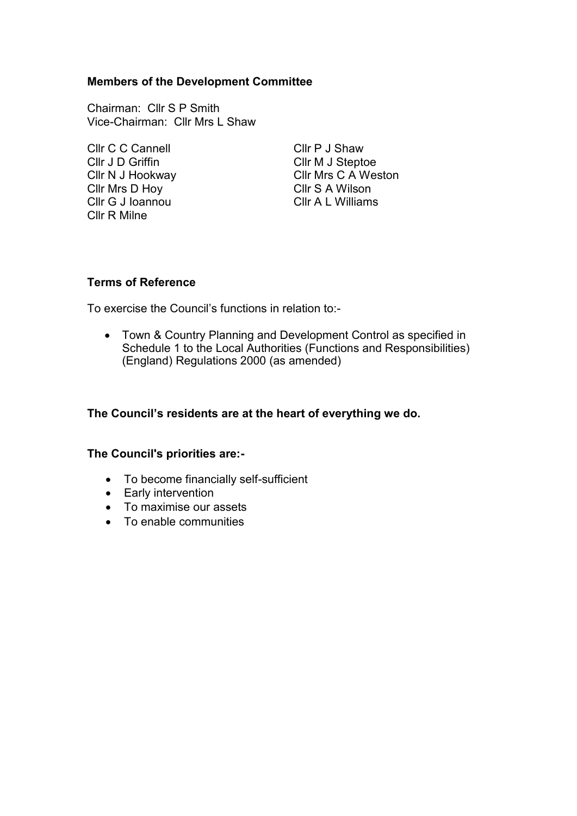### **Members of the Development Committee**

Chairman: Cllr S P Smith Vice-Chairman: Cllr Mrs L Shaw

Cllr C C Cannell Cllr P J Shaw Cllr J D Griffin **Cllr M** J Steptoe Cllr Mrs D Hoy Cllr S A Wilson Cllr G J Ioannou Cllr A L Williams Cllr R Milne

Cllr N J Hookway Cllr Mrs C A Weston

#### **Terms of Reference**

To exercise the Council's functions in relation to:-

 Town & Country Planning and Development Control as specified in Schedule 1 to the Local Authorities (Functions and Responsibilities) (England) Regulations 2000 (as amended)

### **The Council's residents are at the heart of everything we do.**

#### **The Council's priorities are:-**

- To become financially self-sufficient
- Early intervention
- To maximise our assets
- To enable communities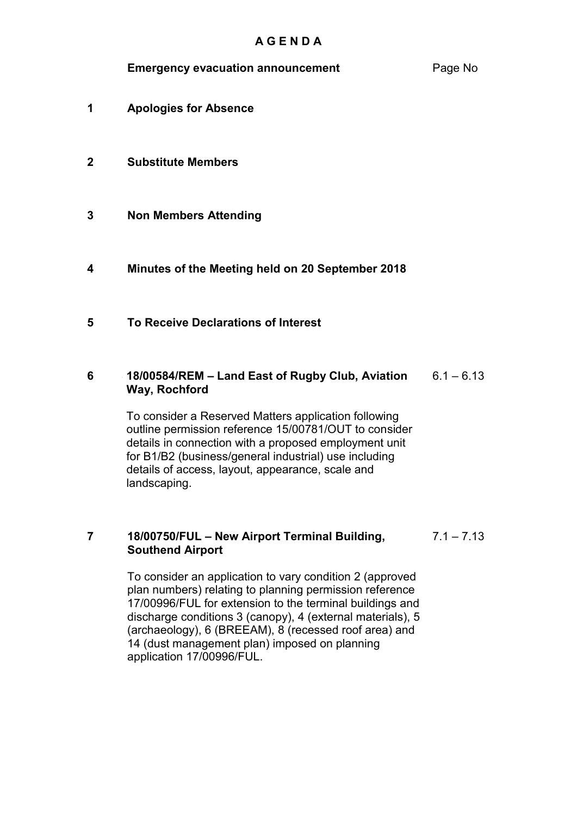### **Emergency evacuation announcement** Page No

- **1** 1**Apologies for Absence**
- **2 Substitute Members**
- **3 Non Members Attending**
- **4 2Minutes of the Meeting held on 20 September 2018**
- **5 3To Receive Declarations of Interest**
- **6 418/00584/REM – Land East of Rugby Club, Aviation Way, Rochford**  $6.1 - 6.13$

To consider a Reserved Matters application following outline permission reference 15/00781/OUT to consider details in connection with a proposed employment unit for B1/B2 (business/general industrial) use including details of access, layout, appearance, scale and landscaping.

#### **7 18/00750/FUL – New Airport Terminal Building, Southend Airport**  $7.1 - 7.13$

To consider an application to vary condition 2 (approved plan numbers) relating to planning permission reference 17/00996/FUL for extension to the terminal buildings and discharge conditions 3 (canopy), 4 (external materials), 5 (archaeology), 6 (BREEAM), 8 (recessed roof area) and 14 (dust management plan) imposed on planning application 17/00996/FUL.